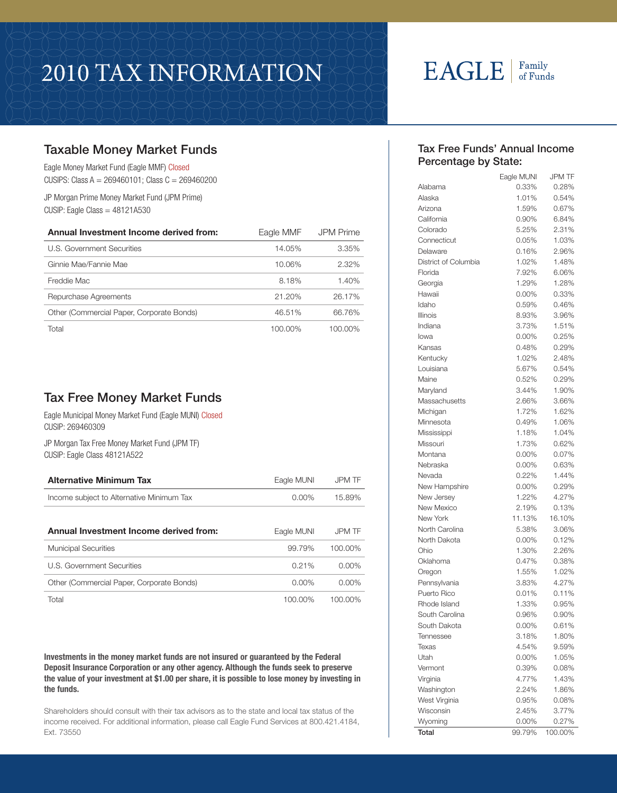# 2010 Tax Information

# $EAGLE$   $|$   $_{\text{of Funds}}$

### Taxable Money Market Funds

Eagle Money Market Fund (Eagle MMF) Closed CUSIPS: Class A = 269460101; Class C = 269460200

JP Morgan Prime Money Market Fund (JPM Prime)  $CUSIP:$  Eagle Class =  $48121A530$ 

| Annual Investment Income derived from:    | Eagle MMF | <b>JPM Prime</b> |
|-------------------------------------------|-----------|------------------|
| U.S. Government Securities                | 14.05%    | 3.35%            |
| Ginnie Mae/Fannie Mae                     | 10.06%    | $2.32\%$         |
| Freddie Mac                               | 8.18%     | 1.40%            |
| Repurchase Agreements                     | 21.20%    | 26.17%           |
| Other (Commercial Paper, Corporate Bonds) | 46.51%    | 66.76%           |
| Total                                     | 100.00%   | 100.00%          |

### Tax Free Money Market Funds

Eagle Municipal Money Market Fund (Eagle MUNI) Closed CUSIP: 269460309

JP Morgan Tax Free Money Market Fund (JPM TF) CUSIP: Eagle Class 48121A522

| <b>Alternative Minimum Tax</b>            | Eagle MUNI | <b>JPM TF</b> |
|-------------------------------------------|------------|---------------|
| Income subject to Alternative Minimum Tax | $0.00\%$   | 15.89%        |
|                                           |            |               |
| Annual Investment Income derived from:    | Eagle MUNI | <b>JPM TF</b> |
| <b>Municipal Securities</b>               | 99.79%     | 100.00%       |

| .                                         |         |         |
|-------------------------------------------|---------|---------|
| U.S. Government Securities                | 0.21%   | 0.00%   |
| Other (Commercial Paper, Corporate Bonds) | 0.00%   | 0.00%   |
| Total                                     | 100.00% | 100.00% |

Investments in the money market funds are not insured or guaranteed by the Federal Deposit Insurance Corporation or any other agency. Although the funds seek to preserve the value of your investment at \$1.00 per share, it is possible to lose money by investing in the funds.

Shareholders should consult with their tax advisors as to the state and local tax status of the income received. For additional information, please call Eagle Fund Services at 800.421.4184, Ext. 73550

#### Tax Free Funds' Annual Income Percentage by State:

|                      | Eagle MUNI | <b>JPM TF</b> |
|----------------------|------------|---------------|
| Alabama              | 0.33%      | 0.28%         |
| Alaska               | 1.01%      | 0.54%         |
| Arizona              | 1.59%      | 0.67%         |
| California           | 0.90%      | 6.84%         |
| Colorado             | 5.25%      | 2.31%         |
| Connecticut          | 0.05%      | 1.03%         |
| Delaware             | 0.16%      | 2.96%         |
| District of Columbia | 1.02%      | 1.48%         |
| Florida              | 7.92%      | 6.06%         |
| Georgia              | 1.29%      | 1.28%         |
| Hawaii               | $0.00\%$   | 0.33%         |
| Idaho                | 0.59%      | 0.46%         |
| <b>Illinois</b>      | 8.93%      | 3.96%         |
| Indiana              | 3.73%      | 1.51%         |
| lowa                 | 0.00%      | 0.25%         |
| Kansas               | 0.48%      | 0.29%         |
| Kentucky             | 1.02%      | 2.48%         |
| Louisiana            | 5.67%      | 0.54%         |
| Maine                | 0.52%      | 0.29%         |
| Maryland             | 3.44%      | 1.90%         |
| Massachusetts        | 2.66%      | 3.66%         |
| Michigan             | 1.72%      | 1.62%         |
| Minnesota            | 0.49%      | 1.06%         |
| Mississippi          | 1.18%      | 1.04%         |
| Missouri             | 1.73%      | 0.62%         |
| Montana              | 0.00%      | 0.07%         |
| Nebraska             | $0.00\%$   | 0.63%         |
| Nevada               | 0.22%      | 1.44%         |
| New Hampshire        | $0.00\%$   | 0.29%         |
| New Jersey           | 1.22%      | 4.27%         |
| New Mexico           | 2.19%      | 0.13%         |
| New York             | 11.13%     | 16.10%        |
| North Carolina       | 5.38%      | 3.06%         |
| North Dakota         | 0.00%      | 0.12%         |
| Ohio                 | 1.30%      | 2.26%         |
| Oklahoma             | 0.47%      | 0.38%         |
| Oregon               | 1.55%      | 1.02%         |
| Pennsylvania         | 3.83%      | 4.27%         |
| Puerto Rico          | 0.01%      | $0.11\%$      |
| Rhode Island         | 1.33%      | 0.95%         |
| South Carolina       | 0.96%      | $0.90\%$      |
| South Dakota         | 0.00%      | 0.61%         |
| Tennessee            | 3.18%      | 1.80%         |
| Texas                | 4.54%      | 9.59%         |
| Utah                 | 0.00%      | 1.05%         |
| Vermont              | 0.39%      | 0.08%         |
| Virginia             | 4.77%      | 1.43%         |
| Washington           | 2.24%      | 1.86%         |
| West Virginia        | 0.95%      | 0.08%         |
| Wisconsin            | 2.45%      | 3.77%         |
| Wyoming              | 0.00%      | 0.27%         |
| Total                | 99.79%     | 100.00%       |